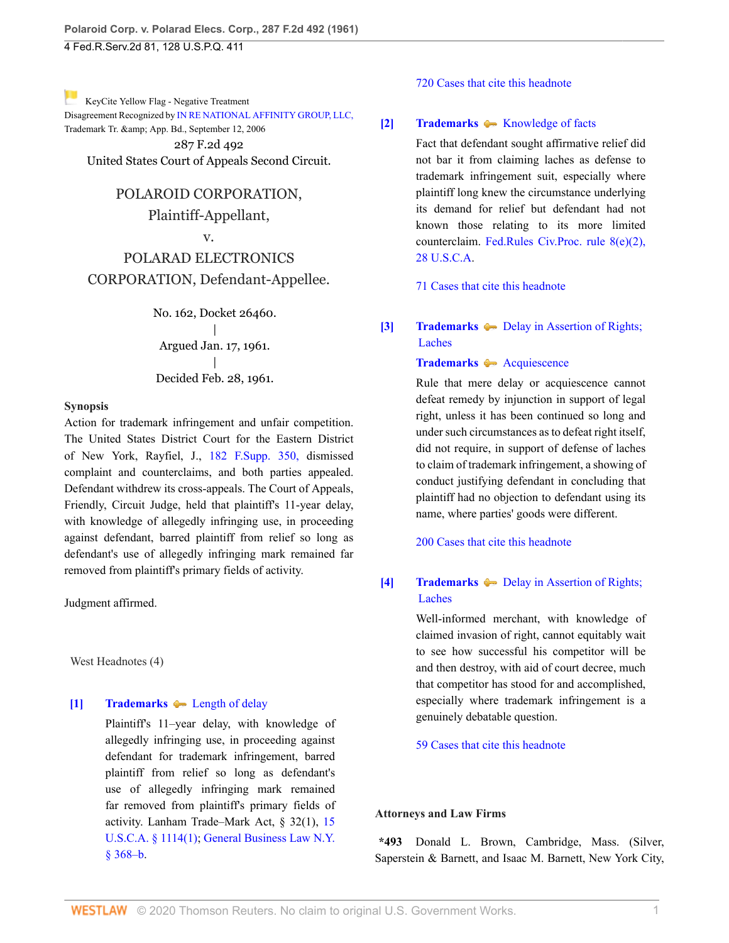[K](http://www.westlaw.com/Link/RelatedInformation/Flag?documentGuid=Ieffae5ce8ee611d993e6d35cc61aab4a&transitionType=Document&originationContext=docHeaderFlag&Rank=0&rs=cblt1.0&vr=3.0&contextData=(sc.UserEnteredCitation))eyCite Yellow Flag - Negative Treatment Disagreement Recognized by [IN RE NATIONAL AFFINITY GROUP, LLC,](https://www.westlaw.com/Document/I8552770e9c5c11dba10be1078cee05f1/View/FullText.html?navigationPath=RelatedInfo%2Fv4%2Fkeycite%2Fnav%2F%3Fguid%3DI8552770e9c5c11dba10be1078cee05f1%26ss%3D1961103589%26ds%3D2010425592%26origDocGuid%3DIeffae5ce8ee611d993e6d35cc61aab4a&listSource=RelatedInfo&list=NegativeCitingReferences&rank=0&originationContext=docHeader&transitionType=NegativeTreatment&contextData=%28sc.UserEnteredCitation%29&VR=3.0&RS=cblt1.0 ) Trademark Tr. & amp; App. Bd., September 12, 2006 287 F.2d 492 United States Court of Appeals Second Circuit.

## POLAROID CORPORATION,

### Plaintiff-Appellant,

v.

# POLARAD ELECTRONICS CORPORATION, Defendant-Appellee.

No. 162, Docket 26460. | Argued Jan. 17, 1961. | Decided Feb. 28, 1961.

#### **Synopsis**

Action for trademark infringement and unfair competition. The United States District Court for the Eastern District of New York, Rayfiel, J., [182 F.Supp. 350,](http://www.westlaw.com/Link/Document/FullText?findType=Y&serNum=1960103430&pubNum=345&originatingDoc=Ieffae5ce8ee611d993e6d35cc61aab4a&refType=RP&originationContext=document&vr=3.0&rs=cblt1.0&transitionType=DocumentItem&contextData=(sc.UserEnteredCitation)) dismissed complaint and counterclaims, and both parties appealed. Defendant withdrew its cross-appeals. The Court of Appeals, Friendly, Circuit Judge, held that plaintiff's 11-year delay, with knowledge of allegedly infringing use, in proceeding against defendant, barred plaintiff from relief so long as defendant's use of allegedly infringing mark remained far removed from plaintiff's primary fields of activity.

Judgment affirmed.

West Headnotes (4)

## <span id="page-0-0"></span>**[\[1\]](#page-1-0) [Trademarks](http://www.westlaw.com/Browse/Home/KeyNumber/382T/View.html?docGuid=Ieffae5ce8ee611d993e6d35cc61aab4a&originationContext=document&vr=3.0&rs=cblt1.0&transitionType=DocumentItem&contextData=(sc.UserEnteredCitation))** length of delay

Plaintiff's 11–year delay, with knowledge of allegedly infringing use, in proceeding against defendant for trademark infringement, barred plaintiff from relief so long as defendant's use of allegedly infringing mark remained far removed from plaintiff's primary fields of activity. Lanham Trade–Mark Act, § 32(1), [15](http://www.westlaw.com/Link/Document/FullText?findType=L&pubNum=1000546&cite=15USCAS1114&originatingDoc=Ieffae5ce8ee611d993e6d35cc61aab4a&refType=LQ&originationContext=document&vr=3.0&rs=cblt1.0&transitionType=DocumentItem&contextData=(sc.UserEnteredCitation)) [U.S.C.A. § 1114\(1\);](http://www.westlaw.com/Link/Document/FullText?findType=L&pubNum=1000546&cite=15USCAS1114&originatingDoc=Ieffae5ce8ee611d993e6d35cc61aab4a&refType=LQ&originationContext=document&vr=3.0&rs=cblt1.0&transitionType=DocumentItem&contextData=(sc.UserEnteredCitation)) [General Business Law N.Y.](http://www.westlaw.com/Link/Document/FullText?findType=L&pubNum=1000081&cite=NYGBS368-B&originatingDoc=Ieffae5ce8ee611d993e6d35cc61aab4a&refType=LQ&originationContext=document&vr=3.0&rs=cblt1.0&transitionType=DocumentItem&contextData=(sc.UserEnteredCitation)) [§ 368–b](http://www.westlaw.com/Link/Document/FullText?findType=L&pubNum=1000081&cite=NYGBS368-B&originatingDoc=Ieffae5ce8ee611d993e6d35cc61aab4a&refType=LQ&originationContext=document&vr=3.0&rs=cblt1.0&transitionType=DocumentItem&contextData=(sc.UserEnteredCitation)).

#### [720 Cases that cite this headnote](http://www.westlaw.com/Link/RelatedInformation/DocHeadnoteLink?docGuid=Ieffae5ce8ee611d993e6d35cc61aab4a&headnoteId=196110358950120180507073225&originationContext=document&vr=3.0&rs=cblt1.0&transitionType=CitingReferences&contextData=(sc.UserEnteredCitation))

## <span id="page-0-1"></span>**[\[2\]](#page-3-0) [Trademarks](http://www.westlaw.com/Browse/Home/KeyNumber/382T/View.html?docGuid=Ieffae5ce8ee611d993e6d35cc61aab4a&originationContext=document&vr=3.0&rs=cblt1.0&transitionType=DocumentItem&contextData=(sc.UserEnteredCitation))** A **[Knowledge of facts](http://www.westlaw.com/Browse/Home/KeyNumber/382Tk1535/View.html?docGuid=Ieffae5ce8ee611d993e6d35cc61aab4a&originationContext=document&vr=3.0&rs=cblt1.0&transitionType=DocumentItem&contextData=(sc.UserEnteredCitation))**

Fact that defendant sought affirmative relief did not bar it from claiming laches as defense to trademark infringement suit, especially where plaintiff long knew the circumstance underlying its demand for relief but defendant had not known those relating to its more limited counterclaim. [Fed.Rules Civ.Proc. rule 8\(e\)\(2\),](http://www.westlaw.com/Link/Document/FullText?findType=L&pubNum=1004365&cite=USFRCPR8&originatingDoc=Ieffae5ce8ee611d993e6d35cc61aab4a&refType=LQ&originationContext=document&vr=3.0&rs=cblt1.0&transitionType=DocumentItem&contextData=(sc.UserEnteredCitation)) [28 U.S.C.A](http://www.westlaw.com/Link/Document/FullText?findType=L&pubNum=1004365&cite=USFRCPR8&originatingDoc=Ieffae5ce8ee611d993e6d35cc61aab4a&refType=LQ&originationContext=document&vr=3.0&rs=cblt1.0&transitionType=DocumentItem&contextData=(sc.UserEnteredCitation)).

[71 Cases that cite this headnote](http://www.westlaw.com/Link/RelatedInformation/DocHeadnoteLink?docGuid=Ieffae5ce8ee611d993e6d35cc61aab4a&headnoteId=196110358950220180507073225&originationContext=document&vr=3.0&rs=cblt1.0&transitionType=CitingReferences&contextData=(sc.UserEnteredCitation))

## <span id="page-0-2"></span>**[\[3\]](#page-3-1) [Trademarks](http://www.westlaw.com/Browse/Home/KeyNumber/382T/View.html?docGuid=Ieffae5ce8ee611d993e6d35cc61aab4a&originationContext=document&vr=3.0&rs=cblt1.0&transitionType=DocumentItem&contextData=(sc.UserEnteredCitation))**  $\blacktriangleright$  Delay in Assertion of Rights; **Laches**

#### **[Trademarks](http://www.westlaw.com/Browse/Home/KeyNumber/382T/View.html?docGuid=Ieffae5ce8ee611d993e6d35cc61aab4a&originationContext=document&vr=3.0&rs=cblt1.0&transitionType=DocumentItem&contextData=(sc.UserEnteredCitation))** [Acquiescence](http://www.westlaw.com/Browse/Home/KeyNumber/382Tk1539/View.html?docGuid=Ieffae5ce8ee611d993e6d35cc61aab4a&originationContext=document&vr=3.0&rs=cblt1.0&transitionType=DocumentItem&contextData=(sc.UserEnteredCitation))

Rule that mere delay or acquiescence cannot defeat remedy by injunction in support of legal right, unless it has been continued so long and under such circumstances as to defeat right itself, did not require, in support of defense of laches to claim of trademark infringement, a showing of conduct justifying defendant in concluding that plaintiff had no objection to defendant using its name, where parties' goods were different.

[200 Cases that cite this headnote](http://www.westlaw.com/Link/RelatedInformation/DocHeadnoteLink?docGuid=Ieffae5ce8ee611d993e6d35cc61aab4a&headnoteId=196110358950320180507073225&originationContext=document&vr=3.0&rs=cblt1.0&transitionType=CitingReferences&contextData=(sc.UserEnteredCitation))

## <span id="page-0-3"></span>**[\[4\]](#page-4-0) [Trademarks](http://www.westlaw.com/Browse/Home/KeyNumber/382T/View.html?docGuid=Ieffae5ce8ee611d993e6d35cc61aab4a&originationContext=document&vr=3.0&rs=cblt1.0&transitionType=DocumentItem&contextData=(sc.UserEnteredCitation))**  $\blacklozenge$  Delay in Assertion of Rights; **Laches**

Well-informed merchant, with knowledge of claimed invasion of right, cannot equitably wait to see how successful his competitor will be and then destroy, with aid of court decree, much that competitor has stood for and accomplished, especially where trademark infringement is a genuinely debatable question.

#### [59 Cases that cite this headnote](http://www.westlaw.com/Link/RelatedInformation/DocHeadnoteLink?docGuid=Ieffae5ce8ee611d993e6d35cc61aab4a&headnoteId=196110358950420180507073225&originationContext=document&vr=3.0&rs=cblt1.0&transitionType=CitingReferences&contextData=(sc.UserEnteredCitation))

#### **Attorneys and Law Firms**

**\*493** Donald L. Brown, Cambridge, Mass. (Silver, Saperstein & Barnett, and Isaac M. Barnett, New York City,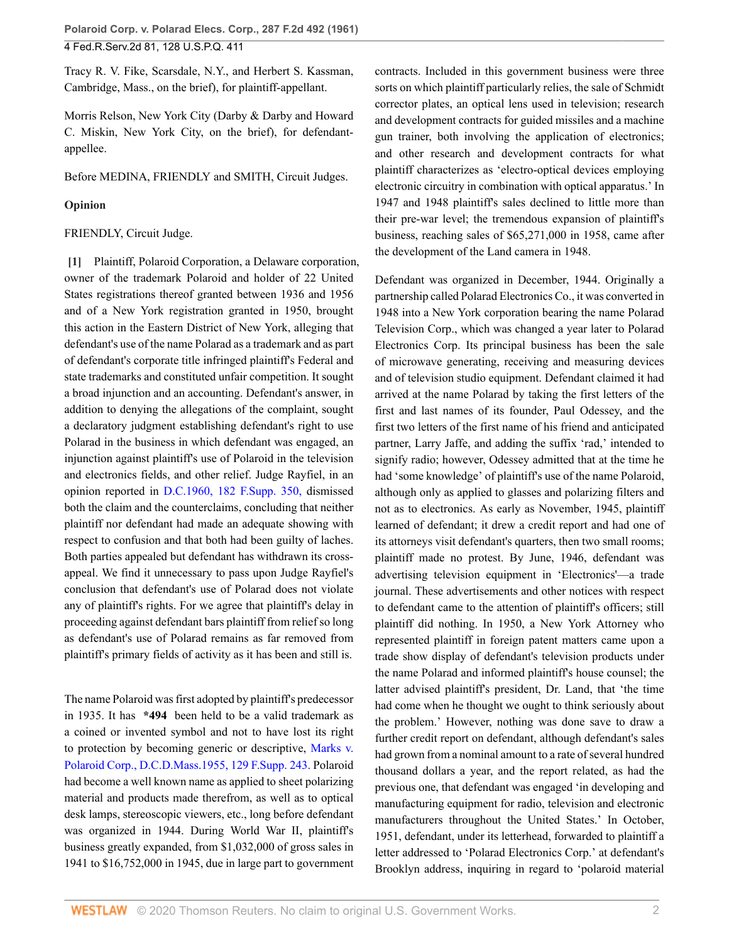Tracy R. V. Fike, Scarsdale, N.Y., and Herbert S. Kassman, Cambridge, Mass., on the brief), for plaintiff-appellant.

Morris Relson, New York City (Darby & Darby and Howard C. Miskin, New York City, on the brief), for defendantappellee.

Before MEDINA, FRIENDLY and SMITH, Circuit Judges.

#### **Opinion**

#### FRIENDLY, Circuit Judge.

<span id="page-1-0"></span>**[\[1\]](#page-0-0)** Plaintiff, Polaroid Corporation, a Delaware corporation, owner of the trademark Polaroid and holder of 22 United States registrations thereof granted between 1936 and 1956 and of a New York registration granted in 1950, brought this action in the Eastern District of New York, alleging that defendant's use of the name Polarad as a trademark and as part of defendant's corporate title infringed plaintiff's Federal and state trademarks and constituted unfair competition. It sought a broad injunction and an accounting. Defendant's answer, in addition to denying the allegations of the complaint, sought a declaratory judgment establishing defendant's right to use Polarad in the business in which defendant was engaged, an injunction against plaintiff's use of Polaroid in the television and electronics fields, and other relief. Judge Rayfiel, in an opinion reported in [D.C.1960, 182 F.Supp. 350,](http://www.westlaw.com/Link/Document/FullText?findType=Y&serNum=1960103430&pubNum=345&originatingDoc=Ieffae5ce8ee611d993e6d35cc61aab4a&refType=RP&originationContext=document&vr=3.0&rs=cblt1.0&transitionType=DocumentItem&contextData=(sc.UserEnteredCitation)) dismissed both the claim and the counterclaims, concluding that neither plaintiff nor defendant had made an adequate showing with respect to confusion and that both had been guilty of laches. Both parties appealed but defendant has withdrawn its crossappeal. We find it unnecessary to pass upon Judge Rayfiel's conclusion that defendant's use of Polarad does not violate any of plaintiff's rights. For we agree that plaintiff's delay in proceeding against defendant bars plaintiff from relief so long as defendant's use of Polarad remains as far removed from plaintiff's primary fields of activity as it has been and still is.

The name Polaroid was first adopted by plaintiff's predecessor in 1935. It has **\*494** been held to be a valid trademark as a coined or invented symbol and not to have lost its right to protection by becoming generic or descriptive, [Marks v.](http://www.westlaw.com/Link/Document/FullText?findType=Y&serNum=1955119592&pubNum=345&originatingDoc=Ieffae5ce8ee611d993e6d35cc61aab4a&refType=RP&originationContext=document&vr=3.0&rs=cblt1.0&transitionType=DocumentItem&contextData=(sc.UserEnteredCitation)) [Polaroid Corp., D.C.D.Mass.1955, 129 F.Supp. 243.](http://www.westlaw.com/Link/Document/FullText?findType=Y&serNum=1955119592&pubNum=345&originatingDoc=Ieffae5ce8ee611d993e6d35cc61aab4a&refType=RP&originationContext=document&vr=3.0&rs=cblt1.0&transitionType=DocumentItem&contextData=(sc.UserEnteredCitation)) Polaroid had become a well known name as applied to sheet polarizing material and products made therefrom, as well as to optical desk lamps, stereoscopic viewers, etc., long before defendant was organized in 1944. During World War II, plaintiff's business greatly expanded, from \$1,032,000 of gross sales in 1941 to \$16,752,000 in 1945, due in large part to government

contracts. Included in this government business were three sorts on which plaintiff particularly relies, the sale of Schmidt corrector plates, an optical lens used in television; research and development contracts for guided missiles and a machine gun trainer, both involving the application of electronics; and other research and development contracts for what plaintiff characterizes as 'electro-optical devices employing electronic circuitry in combination with optical apparatus.' In 1947 and 1948 plaintiff's sales declined to little more than their pre-war level; the tremendous expansion of plaintiff's business, reaching sales of \$65,271,000 in 1958, came after the development of the Land camera in 1948.

Defendant was organized in December, 1944. Originally a partnership called Polarad Electronics Co., it was converted in 1948 into a New York corporation bearing the name Polarad Television Corp., which was changed a year later to Polarad Electronics Corp. Its principal business has been the sale of microwave generating, receiving and measuring devices and of television studio equipment. Defendant claimed it had arrived at the name Polarad by taking the first letters of the first and last names of its founder, Paul Odessey, and the first two letters of the first name of his friend and anticipated partner, Larry Jaffe, and adding the suffix 'rad,' intended to signify radio; however, Odessey admitted that at the time he had 'some knowledge' of plaintiff's use of the name Polaroid, although only as applied to glasses and polarizing filters and not as to electronics. As early as November, 1945, plaintiff learned of defendant; it drew a credit report and had one of its attorneys visit defendant's quarters, then two small rooms; plaintiff made no protest. By June, 1946, defendant was advertising television equipment in 'Electronics'—a trade journal. These advertisements and other notices with respect to defendant came to the attention of plaintiff's officers; still plaintiff did nothing. In 1950, a New York Attorney who represented plaintiff in foreign patent matters came upon a trade show display of defendant's television products under the name Polarad and informed plaintiff's house counsel; the latter advised plaintiff's president, Dr. Land, that 'the time had come when he thought we ought to think seriously about the problem.' However, nothing was done save to draw a further credit report on defendant, although defendant's sales had grown from a nominal amount to a rate of several hundred thousand dollars a year, and the report related, as had the previous one, that defendant was engaged 'in developing and manufacturing equipment for radio, television and electronic manufacturers throughout the United States.' In October, 1951, defendant, under its letterhead, forwarded to plaintiff a letter addressed to 'Polarad Electronics Corp.' at defendant's Brooklyn address, inquiring in regard to 'polaroid material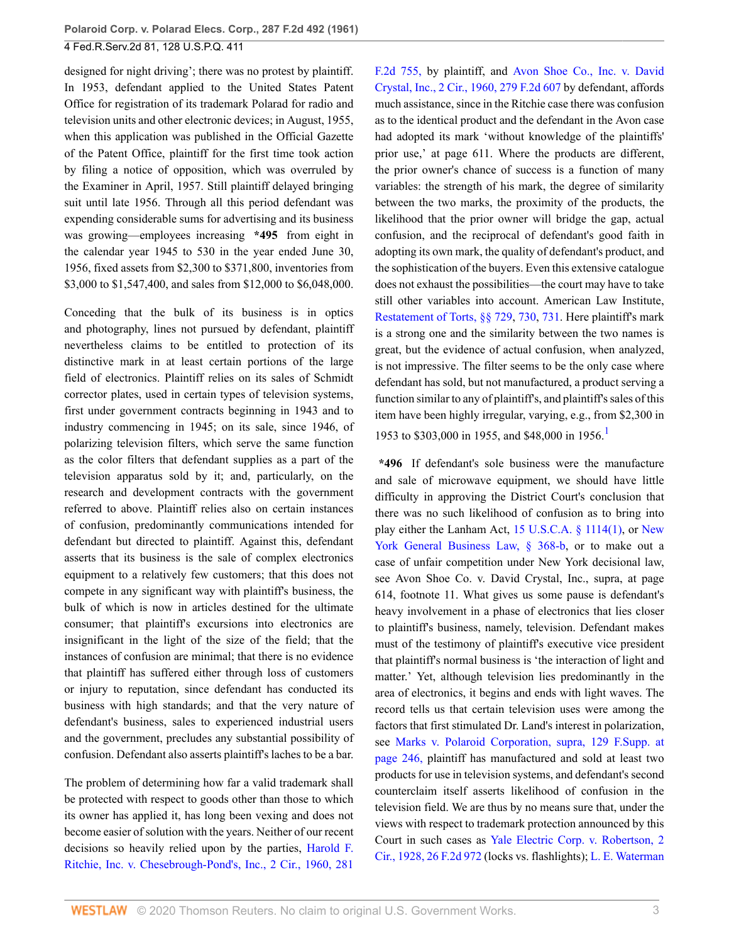designed for night driving'; there was no protest by plaintiff. In 1953, defendant applied to the United States Patent Office for registration of its trademark Polarad for radio and television units and other electronic devices; in August, 1955, when this application was published in the Official Gazette of the Patent Office, plaintiff for the first time took action by filing a notice of opposition, which was overruled by the Examiner in April, 1957. Still plaintiff delayed bringing suit until late 1956. Through all this period defendant was expending considerable sums for advertising and its business was growing—employees increasing **\*495** from eight in the calendar year 1945 to 530 in the year ended June 30, 1956, fixed assets from \$2,300 to \$371,800, inventories from \$3,000 to \$1,547,400, and sales from \$12,000 to \$6,048,000.

Conceding that the bulk of its business is in optics and photography, lines not pursued by defendant, plaintiff nevertheless claims to be entitled to protection of its distinctive mark in at least certain portions of the large field of electronics. Plaintiff relies on its sales of Schmidt corrector plates, used in certain types of television systems, first under government contracts beginning in 1943 and to industry commencing in 1945; on its sale, since 1946, of polarizing television filters, which serve the same function as the color filters that defendant supplies as a part of the television apparatus sold by it; and, particularly, on the research and development contracts with the government referred to above. Plaintiff relies also on certain instances of confusion, predominantly communications intended for defendant but directed to plaintiff. Against this, defendant asserts that its business is the sale of complex electronics equipment to a relatively few customers; that this does not compete in any significant way with plaintiff's business, the bulk of which is now in articles destined for the ultimate consumer; that plaintiff's excursions into electronics are insignificant in the light of the size of the field; that the instances of confusion are minimal; that there is no evidence that plaintiff has suffered either through loss of customers or injury to reputation, since defendant has conducted its business with high standards; and that the very nature of defendant's business, sales to experienced industrial users and the government, precludes any substantial possibility of confusion. Defendant also asserts plaintiff's laches to be a bar.

The problem of determining how far a valid trademark shall be protected with respect to goods other than those to which its owner has applied it, has long been vexing and does not become easier of solution with the years. Neither of our recent decisions so heavily relied upon by the parties, [Harold F.](http://www.westlaw.com/Link/Document/FullText?findType=Y&serNum=1960101784&pubNum=350&originatingDoc=Ieffae5ce8ee611d993e6d35cc61aab4a&refType=RP&originationContext=document&vr=3.0&rs=cblt1.0&transitionType=DocumentItem&contextData=(sc.UserEnteredCitation)) [Ritchie, Inc. v. Chesebrough-Pond's, Inc., 2 Cir., 1960, 281](http://www.westlaw.com/Link/Document/FullText?findType=Y&serNum=1960101784&pubNum=350&originatingDoc=Ieffae5ce8ee611d993e6d35cc61aab4a&refType=RP&originationContext=document&vr=3.0&rs=cblt1.0&transitionType=DocumentItem&contextData=(sc.UserEnteredCitation))

[F.2d 755,](http://www.westlaw.com/Link/Document/FullText?findType=Y&serNum=1960101784&pubNum=350&originatingDoc=Ieffae5ce8ee611d993e6d35cc61aab4a&refType=RP&originationContext=document&vr=3.0&rs=cblt1.0&transitionType=DocumentItem&contextData=(sc.UserEnteredCitation)) by plaintiff, and [Avon Shoe Co., Inc. v. David](http://www.westlaw.com/Link/Document/FullText?findType=Y&serNum=1960100226&pubNum=350&originatingDoc=Ieffae5ce8ee611d993e6d35cc61aab4a&refType=RP&originationContext=document&vr=3.0&rs=cblt1.0&transitionType=DocumentItem&contextData=(sc.UserEnteredCitation)) [Crystal, Inc., 2 Cir., 1960, 279 F.2d 607](http://www.westlaw.com/Link/Document/FullText?findType=Y&serNum=1960100226&pubNum=350&originatingDoc=Ieffae5ce8ee611d993e6d35cc61aab4a&refType=RP&originationContext=document&vr=3.0&rs=cblt1.0&transitionType=DocumentItem&contextData=(sc.UserEnteredCitation)) by defendant, affords much assistance, since in the Ritchie case there was confusion as to the identical product and the defendant in the Avon case had adopted its mark 'without knowledge of the plaintiffs' prior use,' at page 611. Where the products are different, the prior owner's chance of success is a function of many variables: the strength of his mark, the degree of similarity between the two marks, the proximity of the products, the likelihood that the prior owner will bridge the gap, actual confusion, and the reciprocal of defendant's good faith in adopting its own mark, the quality of defendant's product, and the sophistication of the buyers. Even this extensive catalogue does not exhaust the possibilities—the court may have to take still other variables into account. American Law Institute, [Restatement of Torts, §§ 729](http://www.westlaw.com/Link/Document/FullText?findType=Y&serNum=0290691807&pubNum=0101589&originatingDoc=Ieffae5ce8ee611d993e6d35cc61aab4a&refType=TS&originationContext=document&vr=3.0&rs=cblt1.0&transitionType=DocumentItem&contextData=(sc.UserEnteredCitation)), [730](http://www.westlaw.com/Link/Document/FullText?findType=Y&serNum=0290691808&pubNum=0101589&originatingDoc=Ieffae5ce8ee611d993e6d35cc61aab4a&refType=TS&originationContext=document&vr=3.0&rs=cblt1.0&transitionType=DocumentItem&contextData=(sc.UserEnteredCitation)), [731](http://www.westlaw.com/Link/Document/FullText?findType=Y&serNum=0290691809&pubNum=0101589&originatingDoc=Ieffae5ce8ee611d993e6d35cc61aab4a&refType=TS&originationContext=document&vr=3.0&rs=cblt1.0&transitionType=DocumentItem&contextData=(sc.UserEnteredCitation)). Here plaintiff's mark is a strong one and the similarity between the two names is great, but the evidence of actual confusion, when analyzed, is not impressive. The filter seems to be the only case where defendant has sold, but not manufactured, a product serving a function similar to any of plaintiff's, and plaintiff's sales of this item have been highly irregular, varying, e.g., from \$2,300 in [1](#page-4-1)953 to \$303,000 in 1955, and \$48,000 in 1956.<sup>1</sup>

<span id="page-2-0"></span>**\*496** If defendant's sole business were the manufacture and sale of microwave equipment, we should have little difficulty in approving the District Court's conclusion that there was no such likelihood of confusion as to bring into play either the Lanham Act, [15 U.S.C.A. § 1114\(1\),](http://www.westlaw.com/Link/Document/FullText?findType=L&pubNum=1000546&cite=15USCAS1114&originatingDoc=Ieffae5ce8ee611d993e6d35cc61aab4a&refType=RB&originationContext=document&vr=3.0&rs=cblt1.0&transitionType=DocumentItem&contextData=(sc.UserEnteredCitation)#co_pp_f1c50000821b0) or [New](http://www.westlaw.com/Link/Document/FullText?findType=L&pubNum=1000081&cite=NYGBS368-B&originatingDoc=Ieffae5ce8ee611d993e6d35cc61aab4a&refType=LQ&originationContext=document&vr=3.0&rs=cblt1.0&transitionType=DocumentItem&contextData=(sc.UserEnteredCitation)) [York General Business Law, § 368-b](http://www.westlaw.com/Link/Document/FullText?findType=L&pubNum=1000081&cite=NYGBS368-B&originatingDoc=Ieffae5ce8ee611d993e6d35cc61aab4a&refType=LQ&originationContext=document&vr=3.0&rs=cblt1.0&transitionType=DocumentItem&contextData=(sc.UserEnteredCitation)), or to make out a case of unfair competition under New York decisional law, see Avon Shoe Co. v. David Crystal, Inc., supra, at page 614, footnote 11. What gives us some pause is defendant's heavy involvement in a phase of electronics that lies closer to plaintiff's business, namely, television. Defendant makes must of the testimony of plaintiff's executive vice president that plaintiff's normal business is 'the interaction of light and matter.' Yet, although television lies predominantly in the area of electronics, it begins and ends with light waves. The record tells us that certain television uses were among the factors that first stimulated Dr. Land's interest in polarization, see [Marks v. Polaroid Corporation, supra, 129 F.Supp. at](http://www.westlaw.com/Link/Document/FullText?findType=Y&serNum=1955119592&pubNum=345&originatingDoc=Ieffae5ce8ee611d993e6d35cc61aab4a&refType=RP&fi=co_pp_sp_345_246&originationContext=document&vr=3.0&rs=cblt1.0&transitionType=DocumentItem&contextData=(sc.UserEnteredCitation)#co_pp_sp_345_246) [page 246,](http://www.westlaw.com/Link/Document/FullText?findType=Y&serNum=1955119592&pubNum=345&originatingDoc=Ieffae5ce8ee611d993e6d35cc61aab4a&refType=RP&fi=co_pp_sp_345_246&originationContext=document&vr=3.0&rs=cblt1.0&transitionType=DocumentItem&contextData=(sc.UserEnteredCitation)#co_pp_sp_345_246) plaintiff has manufactured and sold at least two products for use in television systems, and defendant's second counterclaim itself asserts likelihood of confusion in the television field. We are thus by no means sure that, under the views with respect to trademark protection announced by this Court in such cases as [Yale Electric Corp. v. Robertson, 2](http://www.westlaw.com/Link/Document/FullText?findType=Y&serNum=1928125857&pubNum=350&originatingDoc=Ieffae5ce8ee611d993e6d35cc61aab4a&refType=RP&originationContext=document&vr=3.0&rs=cblt1.0&transitionType=DocumentItem&contextData=(sc.UserEnteredCitation)) [Cir., 1928, 26 F.2d 972](http://www.westlaw.com/Link/Document/FullText?findType=Y&serNum=1928125857&pubNum=350&originatingDoc=Ieffae5ce8ee611d993e6d35cc61aab4a&refType=RP&originationContext=document&vr=3.0&rs=cblt1.0&transitionType=DocumentItem&contextData=(sc.UserEnteredCitation)) (locks vs. flashlights); [L. E. Waterman](http://www.westlaw.com/Link/Document/FullText?findType=Y&serNum=1934122973&pubNum=350&originatingDoc=Ieffae5ce8ee611d993e6d35cc61aab4a&refType=RP&originationContext=document&vr=3.0&rs=cblt1.0&transitionType=DocumentItem&contextData=(sc.UserEnteredCitation))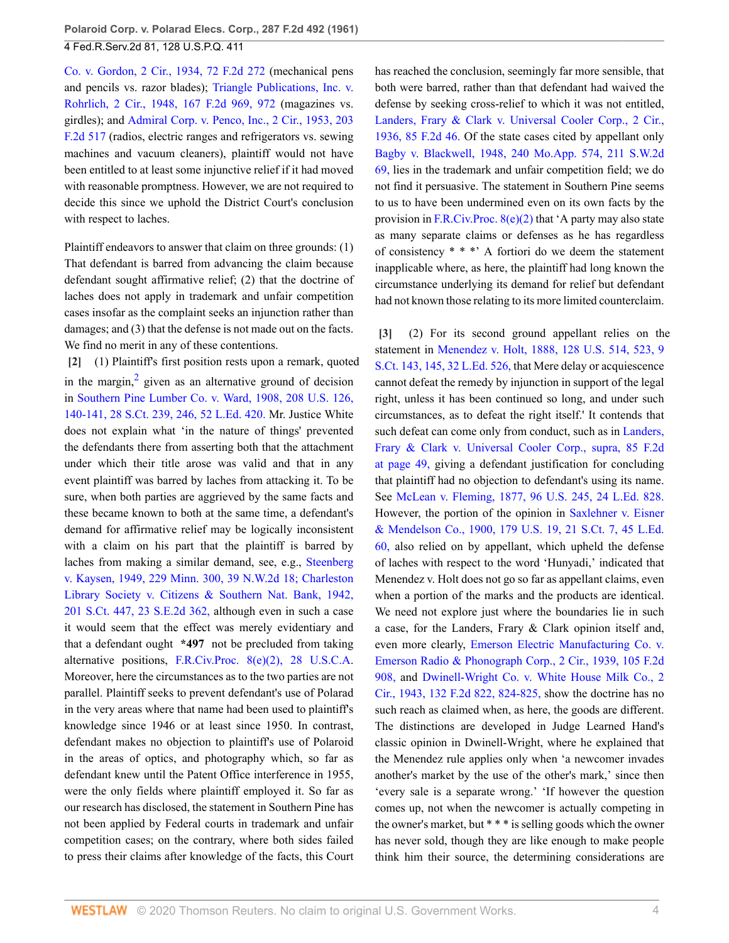[Co. v. Gordon, 2 Cir., 1934, 72 F.2d 272](http://www.westlaw.com/Link/Document/FullText?findType=Y&serNum=1934122973&pubNum=350&originatingDoc=Ieffae5ce8ee611d993e6d35cc61aab4a&refType=RP&originationContext=document&vr=3.0&rs=cblt1.0&transitionType=DocumentItem&contextData=(sc.UserEnteredCitation)) (mechanical pens and pencils vs. razor blades); [Triangle Publications, Inc. v.](http://www.westlaw.com/Link/Document/FullText?findType=Y&serNum=1948118708&pubNum=350&originatingDoc=Ieffae5ce8ee611d993e6d35cc61aab4a&refType=RP&fi=co_pp_sp_350_972&originationContext=document&vr=3.0&rs=cblt1.0&transitionType=DocumentItem&contextData=(sc.UserEnteredCitation)#co_pp_sp_350_972) [Rohrlich, 2 Cir., 1948, 167 F.2d 969, 972](http://www.westlaw.com/Link/Document/FullText?findType=Y&serNum=1948118708&pubNum=350&originatingDoc=Ieffae5ce8ee611d993e6d35cc61aab4a&refType=RP&fi=co_pp_sp_350_972&originationContext=document&vr=3.0&rs=cblt1.0&transitionType=DocumentItem&contextData=(sc.UserEnteredCitation)#co_pp_sp_350_972) (magazines vs. girdles); and [Admiral Corp. v. Penco, Inc., 2 Cir., 1953, 203](http://www.westlaw.com/Link/Document/FullText?findType=Y&serNum=1953116399&pubNum=350&originatingDoc=Ieffae5ce8ee611d993e6d35cc61aab4a&refType=RP&originationContext=document&vr=3.0&rs=cblt1.0&transitionType=DocumentItem&contextData=(sc.UserEnteredCitation)) [F.2d 517](http://www.westlaw.com/Link/Document/FullText?findType=Y&serNum=1953116399&pubNum=350&originatingDoc=Ieffae5ce8ee611d993e6d35cc61aab4a&refType=RP&originationContext=document&vr=3.0&rs=cblt1.0&transitionType=DocumentItem&contextData=(sc.UserEnteredCitation)) (radios, electric ranges and refrigerators vs. sewing machines and vacuum cleaners), plaintiff would not have been entitled to at least some injunctive relief if it had moved with reasonable promptness. However, we are not required to decide this since we uphold the District Court's conclusion with respect to laches.

Plaintiff endeavors to answer that claim on three grounds: (1) That defendant is barred from advancing the claim because defendant sought affirmative relief; (2) that the doctrine of laches does not apply in trademark and unfair competition cases insofar as the complaint seeks an injunction rather than damages; and (3) that the defense is not made out on the facts. We find no merit in any of these contentions.

<span id="page-3-2"></span><span id="page-3-0"></span>**[\[2\]](#page-0-1)** (1) Plaintiff's first position rests upon a remark, quoted in the margin, $\frac{2}{3}$  $\frac{2}{3}$  $\frac{2}{3}$  given as an alternative ground of decision in [Southern Pine Lumber Co. v. Ward, 1908, 208 U.S. 126,](http://www.westlaw.com/Link/Document/FullText?findType=Y&serNum=1908100360&pubNum=708&originatingDoc=Ieffae5ce8ee611d993e6d35cc61aab4a&refType=RP&fi=co_pp_sp_708_246&originationContext=document&vr=3.0&rs=cblt1.0&transitionType=DocumentItem&contextData=(sc.UserEnteredCitation)#co_pp_sp_708_246) [140-141, 28 S.Ct. 239, 246, 52 L.Ed. 420.](http://www.westlaw.com/Link/Document/FullText?findType=Y&serNum=1908100360&pubNum=708&originatingDoc=Ieffae5ce8ee611d993e6d35cc61aab4a&refType=RP&fi=co_pp_sp_708_246&originationContext=document&vr=3.0&rs=cblt1.0&transitionType=DocumentItem&contextData=(sc.UserEnteredCitation)#co_pp_sp_708_246) Mr. Justice White does not explain what 'in the nature of things' prevented the defendants there from asserting both that the attachment under which their title arose was valid and that in any event plaintiff was barred by laches from attacking it. To be sure, when both parties are aggrieved by the same facts and these became known to both at the same time, a defendant's demand for affirmative relief may be logically inconsistent with a claim on his part that the plaintiff is barred by laches from making a similar demand, see, e.g., [Steenberg](http://www.westlaw.com/Link/Document/FullText?findType=Y&serNum=1949105790&pubNum=595&originatingDoc=Ieffae5ce8ee611d993e6d35cc61aab4a&refType=RP&originationContext=document&vr=3.0&rs=cblt1.0&transitionType=DocumentItem&contextData=(sc.UserEnteredCitation)) [v. Kaysen, 1949, 229 Minn. 300, 39 N.W.2d 18;](http://www.westlaw.com/Link/Document/FullText?findType=Y&serNum=1949105790&pubNum=595&originatingDoc=Ieffae5ce8ee611d993e6d35cc61aab4a&refType=RP&originationContext=document&vr=3.0&rs=cblt1.0&transitionType=DocumentItem&contextData=(sc.UserEnteredCitation)) [Charleston](http://www.westlaw.com/Link/Document/FullText?findType=Y&serNum=1943103986&pubNum=711&originatingDoc=Ieffae5ce8ee611d993e6d35cc61aab4a&refType=RP&originationContext=document&vr=3.0&rs=cblt1.0&transitionType=DocumentItem&contextData=(sc.UserEnteredCitation)) [Library Society v. Citizens & Southern Nat. Bank, 1942,](http://www.westlaw.com/Link/Document/FullText?findType=Y&serNum=1943103986&pubNum=711&originatingDoc=Ieffae5ce8ee611d993e6d35cc61aab4a&refType=RP&originationContext=document&vr=3.0&rs=cblt1.0&transitionType=DocumentItem&contextData=(sc.UserEnteredCitation)) [201 S.Ct. 447, 23 S.E.2d 362,](http://www.westlaw.com/Link/Document/FullText?findType=Y&serNum=1943103986&pubNum=711&originatingDoc=Ieffae5ce8ee611d993e6d35cc61aab4a&refType=RP&originationContext=document&vr=3.0&rs=cblt1.0&transitionType=DocumentItem&contextData=(sc.UserEnteredCitation)) although even in such a case it would seem that the effect was merely evidentiary and that a defendant ought **\*497** not be precluded from taking alternative positions, [F.R.Civ.Proc. 8\(e\)\(2\), 28 U.S.C.A](http://www.westlaw.com/Link/Document/FullText?findType=L&pubNum=1004365&cite=USFRCPR8&originatingDoc=Ieffae5ce8ee611d993e6d35cc61aab4a&refType=LQ&originationContext=document&vr=3.0&rs=cblt1.0&transitionType=DocumentItem&contextData=(sc.UserEnteredCitation)). Moreover, here the circumstances as to the two parties are not parallel. Plaintiff seeks to prevent defendant's use of Polarad in the very areas where that name had been used to plaintiff's knowledge since 1946 or at least since 1950. In contrast, defendant makes no objection to plaintiff's use of Polaroid in the areas of optics, and photography which, so far as defendant knew until the Patent Office interference in 1955, were the only fields where plaintiff employed it. So far as our research has disclosed, the statement in Southern Pine has not been applied by Federal courts in trademark and unfair competition cases; on the contrary, where both sides failed to press their claims after knowledge of the facts, this Court

has reached the conclusion, seemingly far more sensible, that both were barred, rather than that defendant had waived the defense by seeking cross-relief to which it was not entitled, [Landers, Frary & Clark v. Universal Cooler Corp., 2 Cir.,](http://www.westlaw.com/Link/Document/FullText?findType=Y&serNum=1936122517&pubNum=350&originatingDoc=Ieffae5ce8ee611d993e6d35cc61aab4a&refType=RP&originationContext=document&vr=3.0&rs=cblt1.0&transitionType=DocumentItem&contextData=(sc.UserEnteredCitation)) [1936, 85 F.2d 46.](http://www.westlaw.com/Link/Document/FullText?findType=Y&serNum=1936122517&pubNum=350&originatingDoc=Ieffae5ce8ee611d993e6d35cc61aab4a&refType=RP&originationContext=document&vr=3.0&rs=cblt1.0&transitionType=DocumentItem&contextData=(sc.UserEnteredCitation)) Of the state cases cited by appellant only [Bagby v. Blackwell, 1948, 240 Mo.App. 574, 211 S.W.2d](http://www.westlaw.com/Link/Document/FullText?findType=Y&serNum=1948102396&pubNum=713&originatingDoc=Ieffae5ce8ee611d993e6d35cc61aab4a&refType=RP&originationContext=document&vr=3.0&rs=cblt1.0&transitionType=DocumentItem&contextData=(sc.UserEnteredCitation)) [69,](http://www.westlaw.com/Link/Document/FullText?findType=Y&serNum=1948102396&pubNum=713&originatingDoc=Ieffae5ce8ee611d993e6d35cc61aab4a&refType=RP&originationContext=document&vr=3.0&rs=cblt1.0&transitionType=DocumentItem&contextData=(sc.UserEnteredCitation)) lies in the trademark and unfair competition field; we do not find it persuasive. The statement in Southern Pine seems to us to have been undermined even on its own facts by the provision in F.R.Civ.Proc.  $8(e)(2)$  that 'A party may also state as many separate claims or defenses as he has regardless of consistency \* \* \*' A fortiori do we deem the statement inapplicable where, as here, the plaintiff had long known the circumstance underlying its demand for relief but defendant had not known those relating to its more limited counterclaim.

<span id="page-3-1"></span>**[\[3\]](#page-0-2)** (2) For its second ground appellant relies on the statement in [Menendez v. Holt, 1888, 128 U.S. 514, 523, 9](http://www.westlaw.com/Link/Document/FullText?findType=Y&serNum=1888180220&pubNum=708&originatingDoc=Ieffae5ce8ee611d993e6d35cc61aab4a&refType=RP&fi=co_pp_sp_708_145&originationContext=document&vr=3.0&rs=cblt1.0&transitionType=DocumentItem&contextData=(sc.UserEnteredCitation)#co_pp_sp_708_145) [S.Ct. 143, 145, 32 L.Ed. 526,](http://www.westlaw.com/Link/Document/FullText?findType=Y&serNum=1888180220&pubNum=708&originatingDoc=Ieffae5ce8ee611d993e6d35cc61aab4a&refType=RP&fi=co_pp_sp_708_145&originationContext=document&vr=3.0&rs=cblt1.0&transitionType=DocumentItem&contextData=(sc.UserEnteredCitation)#co_pp_sp_708_145) that Mere delay or acquiescence cannot defeat the remedy by injunction in support of the legal right, unless it has been continued so long, and under such circumstances, as to defeat the right itself.' It contends that such defeat can come only from conduct, such as in [Landers,](http://www.westlaw.com/Link/Document/FullText?findType=Y&serNum=1936122517&pubNum=350&originatingDoc=Ieffae5ce8ee611d993e6d35cc61aab4a&refType=RP&fi=co_pp_sp_350_49&originationContext=document&vr=3.0&rs=cblt1.0&transitionType=DocumentItem&contextData=(sc.UserEnteredCitation)#co_pp_sp_350_49) [Frary & Clark v. Universal Cooler Corp., supra, 85 F.2d](http://www.westlaw.com/Link/Document/FullText?findType=Y&serNum=1936122517&pubNum=350&originatingDoc=Ieffae5ce8ee611d993e6d35cc61aab4a&refType=RP&fi=co_pp_sp_350_49&originationContext=document&vr=3.0&rs=cblt1.0&transitionType=DocumentItem&contextData=(sc.UserEnteredCitation)#co_pp_sp_350_49) [at page 49,](http://www.westlaw.com/Link/Document/FullText?findType=Y&serNum=1936122517&pubNum=350&originatingDoc=Ieffae5ce8ee611d993e6d35cc61aab4a&refType=RP&fi=co_pp_sp_350_49&originationContext=document&vr=3.0&rs=cblt1.0&transitionType=DocumentItem&contextData=(sc.UserEnteredCitation)#co_pp_sp_350_49) giving a defendant justification for concluding that plaintiff had no objection to defendant's using its name. See [McLean v. Fleming, 1877, 96 U.S. 245, 24 L.Ed. 828.](http://www.westlaw.com/Link/Document/FullText?findType=Y&serNum=1877153610&pubNum=780&originatingDoc=Ieffae5ce8ee611d993e6d35cc61aab4a&refType=RP&originationContext=document&vr=3.0&rs=cblt1.0&transitionType=DocumentItem&contextData=(sc.UserEnteredCitation)) However, the portion of the opinion in [Saxlehner v. Eisner](http://www.westlaw.com/Link/Document/FullText?findType=Y&serNum=1900130264&pubNum=708&originatingDoc=Ieffae5ce8ee611d993e6d35cc61aab4a&refType=RP&originationContext=document&vr=3.0&rs=cblt1.0&transitionType=DocumentItem&contextData=(sc.UserEnteredCitation)) [& Mendelson Co., 1900, 179 U.S. 19, 21 S.Ct. 7, 45 L.Ed.](http://www.westlaw.com/Link/Document/FullText?findType=Y&serNum=1900130264&pubNum=708&originatingDoc=Ieffae5ce8ee611d993e6d35cc61aab4a&refType=RP&originationContext=document&vr=3.0&rs=cblt1.0&transitionType=DocumentItem&contextData=(sc.UserEnteredCitation)) [60,](http://www.westlaw.com/Link/Document/FullText?findType=Y&serNum=1900130264&pubNum=708&originatingDoc=Ieffae5ce8ee611d993e6d35cc61aab4a&refType=RP&originationContext=document&vr=3.0&rs=cblt1.0&transitionType=DocumentItem&contextData=(sc.UserEnteredCitation)) also relied on by appellant, which upheld the defense of laches with respect to the word 'Hunyadi,' indicated that Menendez v. Holt does not go so far as appellant claims, even when a portion of the marks and the products are identical. We need not explore just where the boundaries lie in such a case, for the Landers, Frary & Clark opinion itself and, even more clearly, [Emerson Electric Manufacturing Co. v.](http://www.westlaw.com/Link/Document/FullText?findType=Y&serNum=1939121816&pubNum=350&originatingDoc=Ieffae5ce8ee611d993e6d35cc61aab4a&refType=RP&originationContext=document&vr=3.0&rs=cblt1.0&transitionType=DocumentItem&contextData=(sc.UserEnteredCitation)) [Emerson Radio & Phonograph Corp., 2 Cir., 1939, 105 F.2d](http://www.westlaw.com/Link/Document/FullText?findType=Y&serNum=1939121816&pubNum=350&originatingDoc=Ieffae5ce8ee611d993e6d35cc61aab4a&refType=RP&originationContext=document&vr=3.0&rs=cblt1.0&transitionType=DocumentItem&contextData=(sc.UserEnteredCitation)) [908,](http://www.westlaw.com/Link/Document/FullText?findType=Y&serNum=1939121816&pubNum=350&originatingDoc=Ieffae5ce8ee611d993e6d35cc61aab4a&refType=RP&originationContext=document&vr=3.0&rs=cblt1.0&transitionType=DocumentItem&contextData=(sc.UserEnteredCitation)) and [Dwinell-Wright Co. v. White House Milk Co., 2](http://www.westlaw.com/Link/Document/FullText?findType=Y&serNum=1943117054&pubNum=350&originatingDoc=Ieffae5ce8ee611d993e6d35cc61aab4a&refType=RP&fi=co_pp_sp_350_824&originationContext=document&vr=3.0&rs=cblt1.0&transitionType=DocumentItem&contextData=(sc.UserEnteredCitation)#co_pp_sp_350_824) [Cir., 1943, 132 F.2d 822, 824-825,](http://www.westlaw.com/Link/Document/FullText?findType=Y&serNum=1943117054&pubNum=350&originatingDoc=Ieffae5ce8ee611d993e6d35cc61aab4a&refType=RP&fi=co_pp_sp_350_824&originationContext=document&vr=3.0&rs=cblt1.0&transitionType=DocumentItem&contextData=(sc.UserEnteredCitation)#co_pp_sp_350_824) show the doctrine has no such reach as claimed when, as here, the goods are different. The distinctions are developed in Judge Learned Hand's classic opinion in Dwinell-Wright, where he explained that the Menendez rule applies only when 'a newcomer invades another's market by the use of the other's mark,' since then 'every sale is a separate wrong.' 'If however the question comes up, not when the newcomer is actually competing in the owner's market, but \* \* \* is selling goods which the owner has never sold, though they are like enough to make people think him their source, the determining considerations are